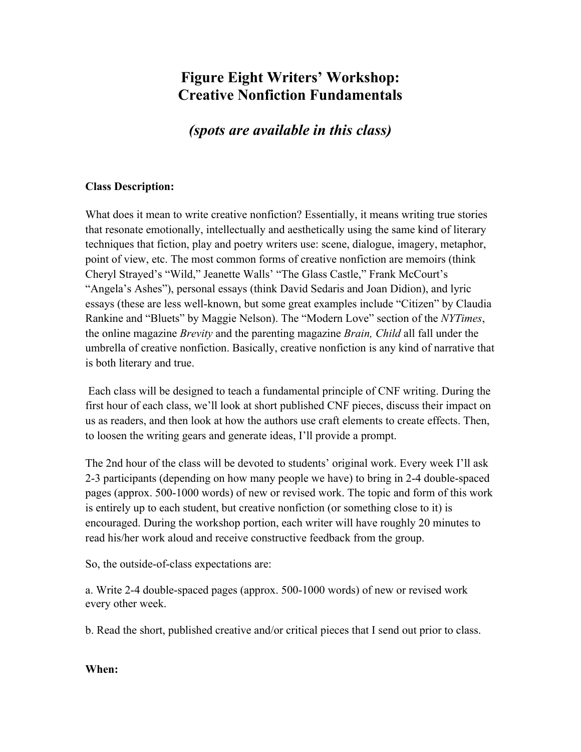# **Figure Eight Writers' Workshop: Creative Nonfiction Fundamentals**

*(spots are available in this class)*

#### **Class Description:**

What does it mean to write creative nonfiction? Essentially, it means writing true stories that resonate emotionally, intellectually and aesthetically using the same kind of literary techniques that fiction, play and poetry writers use: scene, dialogue, imagery, metaphor, point of view, etc. The most common forms of creative nonfiction are memoirs (think Cheryl Strayed's "Wild," Jeanette Walls' "The Glass Castle," Frank McCourt's "Angela's Ashes"), personal essays (think David Sedaris and Joan Didion), and lyric essays (these are less well-known, but some great examples include "Citizen" by Claudia Rankine and "Bluets" by Maggie Nelson). The "Modern Love" section of the *NYTimes*, the online magazine *Brevity* and the parenting magazine *Brain, Child* all fall under the umbrella of creative nonfiction. Basically, creative nonfiction is any kind of narrative that is both literary and true.

Each class will be designed to teach a fundamental principle of CNF writing. During the first hour of each class, we'll look at short published CNF pieces, discuss their impact on us as readers, and then look at how the authors use craft elements to create effects. Then, to loosen the writing gears and generate ideas, I'll provide a prompt.

The 2nd hour of the class will be devoted to students' original work. Every week I'll ask 2-3 participants (depending on how many people we have) to bring in 2-4 double-spaced pages (approx. 500-1000 words) of new or revised work. The topic and form of this work is entirely up to each student, but creative nonfiction (or something close to it) is encouraged. During the workshop portion, each writer will have roughly 20 minutes to read his/her work aloud and receive constructive feedback from the group.

So, the outside-of-class expectations are:

a. Write 2-4 double-spaced pages (approx. 500-1000 words) of new or revised work every other week.

b. Read the short, published creative and/or critical pieces that I send out prior to class.

#### **When:**